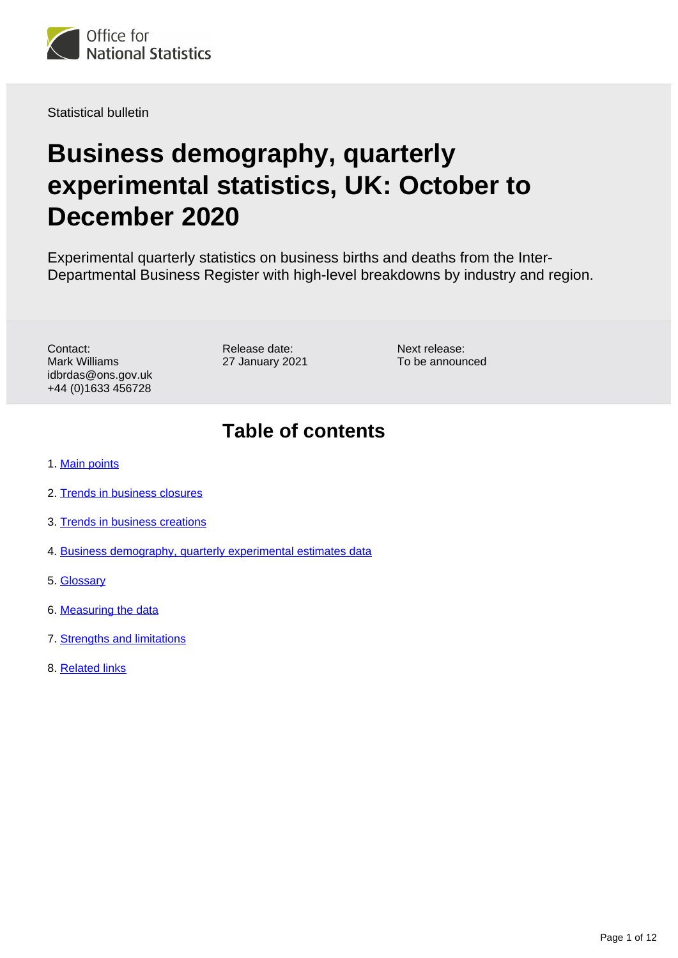

Statistical bulletin

# **Business demography, quarterly experimental statistics, UK: October to December 2020**

Experimental quarterly statistics on business births and deaths from the Inter-Departmental Business Register with high-level breakdowns by industry and region.

Contact: Mark Williams idbrdas@ons.gov.uk +44 (0)1633 456728

Release date: 27 January 2021 Next release: To be announced

## **Table of contents**

- 1. [Main points](#page-1-0)
- 2. [Trends in business closures](#page-1-1)
- 3. [Trends in business creations](#page-3-0)
- 4. [Business demography, quarterly experimental estimates data](#page-8-0)
- 5. [Glossary](#page-8-1)
- 6. [Measuring the data](#page-8-2)
- 7. [Strengths and limitations](#page-10-0)
- 8. [Related links](#page-11-0)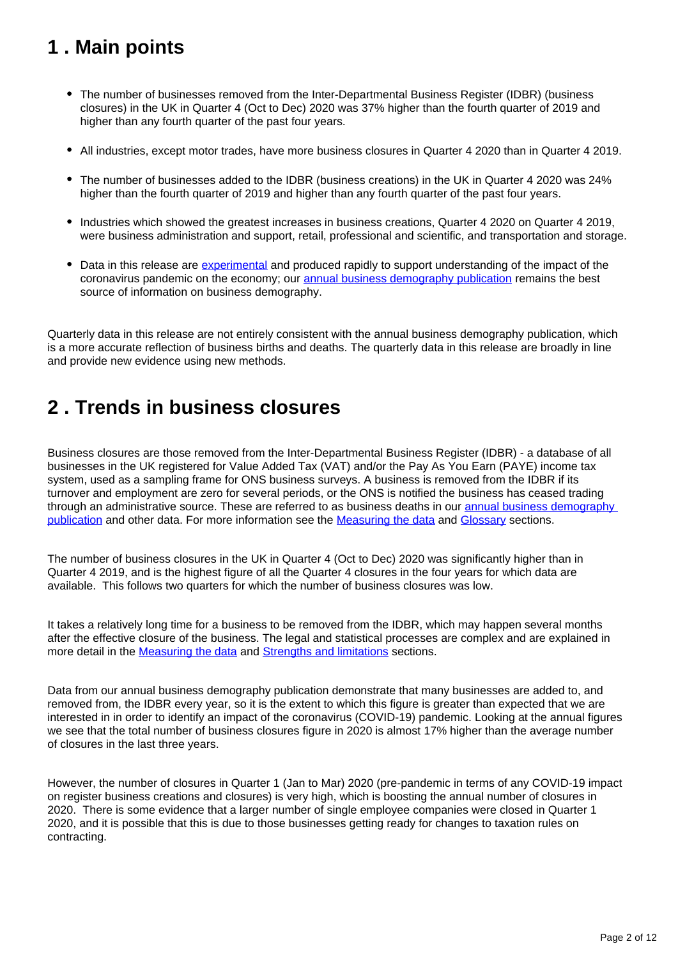# <span id="page-1-0"></span>**1 . Main points**

- The number of businesses removed from the Inter-Departmental Business Register (IDBR) (business closures) in the UK in Quarter 4 (Oct to Dec) 2020 was 37% higher than the fourth quarter of 2019 and higher than any fourth quarter of the past four years.
- All industries, except motor trades, have more business closures in Quarter 4 2020 than in Quarter 4 2019.
- The number of businesses added to the IDBR (business creations) in the UK in Quarter 4 2020 was 24% higher than the fourth quarter of 2019 and higher than any fourth quarter of the past four years.
- Industries which showed the greatest increases in business creations, Quarter 4 2020 on Quarter 4 2019, were business administration and support, retail, professional and scientific, and transportation and storage.
- Data in this release are [experimental](https://www.ons.gov.uk/methodology/methodologytopicsandstatisticalconcepts/guidetoexperimentalstatistics) and produced rapidly to support understanding of the impact of the coronavirus pandemic on the economy; our [annual business demography publication](https://www.ons.gov.uk/businessindustryandtrade/business/activitysizeandlocation/bulletins/businessdemography/previousReleases) remains the best source of information on business demography.

Quarterly data in this release are not entirely consistent with the annual business demography publication, which is a more accurate reflection of business births and deaths. The quarterly data in this release are broadly in line and provide new evidence using new methods.

# <span id="page-1-1"></span>**2 . Trends in business closures**

Business closures are those removed from the Inter-Departmental Business Register (IDBR) - a database of all businesses in the UK registered for Value Added Tax (VAT) and/or the Pay As You Earn (PAYE) income tax system, used as a sampling frame for ONS business surveys. A business is removed from the IDBR if its turnover and employment are zero for several periods, or the ONS is notified the business has ceased trading through an administrative source. These are referred to as business deaths in our [annual business demography](https://www.ons.gov.uk/businessindustryandtrade/business/activitysizeandlocation/bulletins/businessdemography/previousReleases)  [publication](https://www.ons.gov.uk/businessindustryandtrade/business/activitysizeandlocation/bulletins/businessdemography/previousReleases) and other data. For more information see the [Measuring the data](https://www.ons.gov.uk/businessindustryandtrade/business/activitysizeandlocation/bulletins/businessdemographyquarterlyexperimentalstatisticsuk/quarter42020#measuring-the-data) and [Glossary](https://www.ons.gov.uk/businessindustryandtrade/business/activitysizeandlocation/bulletins/businessdemographyquarterlyexperimentalstatisticsuk/quarter42020#glossary) sections.

The number of business closures in the UK in Quarter 4 (Oct to Dec) 2020 was significantly higher than in Quarter 4 2019, and is the highest figure of all the Quarter 4 closures in the four years for which data are available. This follows two quarters for which the number of business closures was low.

It takes a relatively long time for a business to be removed from the IDBR, which may happen several months after the effective closure of the business. The legal and statistical processes are complex and are explained in more detail in the **[Measuring the data](https://www.ons.gov.uk/businessindustryandtrade/business/activitysizeandlocation/bulletins/businessdemographyquarterlyexperimentalstatisticsuk/quarter42020#measuring-the-data) and [Strengths and limitations](https://www.ons.gov.uk/businessindustryandtrade/business/activitysizeandlocation/bulletins/businessdemographyquarterlyexperimentalstatisticsuk/quarter42020#strengths-and-limitations)** sections.

Data from our annual business demography publication demonstrate that many businesses are added to, and removed from, the IDBR every year, so it is the extent to which this figure is greater than expected that we are interested in in order to identify an impact of the coronavirus (COVID-19) pandemic. Looking at the annual figures we see that the total number of business closures figure in 2020 is almost 17% higher than the average number of closures in the last three years.

However, the number of closures in Quarter 1 (Jan to Mar) 2020 (pre-pandemic in terms of any COVID-19 impact on register business creations and closures) is very high, which is boosting the annual number of closures in 2020. There is some evidence that a larger number of single employee companies were closed in Quarter 1 2020, and it is possible that this is due to those businesses getting ready for changes to taxation rules on contracting.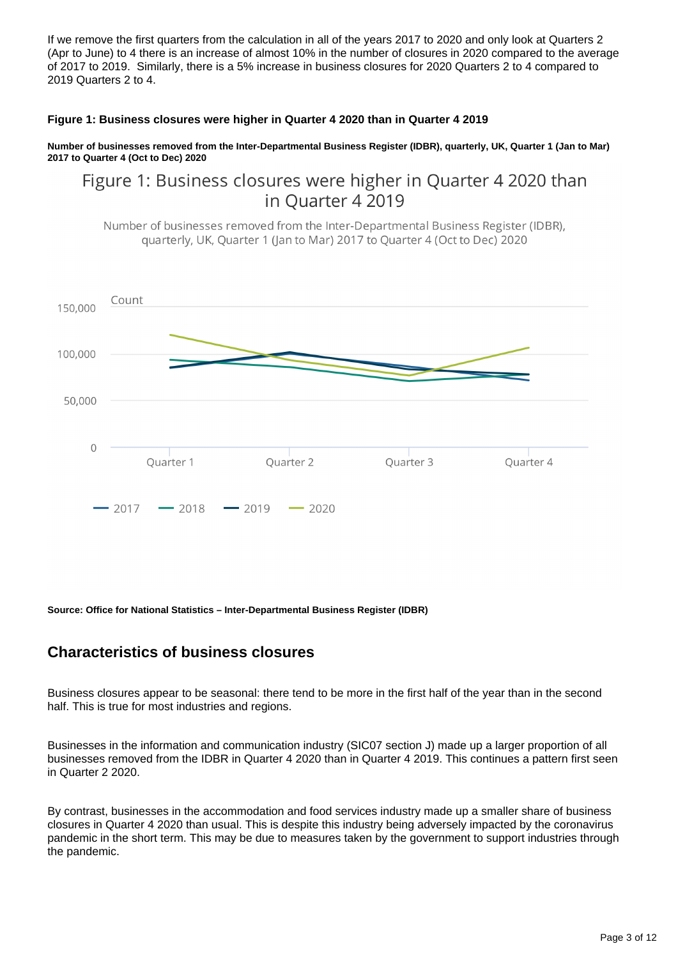If we remove the first quarters from the calculation in all of the years 2017 to 2020 and only look at Quarters 2 (Apr to June) to 4 there is an increase of almost 10% in the number of closures in 2020 compared to the average of 2017 to 2019. Similarly, there is a 5% increase in business closures for 2020 Quarters 2 to 4 compared to 2019 Quarters 2 to 4.

#### **Figure 1: Business closures were higher in Quarter 4 2020 than in Quarter 4 2019**

**Number of businesses removed from the Inter-Departmental Business Register (IDBR), quarterly, UK, Quarter 1 (Jan to Mar) 2017 to Quarter 4 (Oct to Dec) 2020**

## Figure 1: Business closures were higher in Quarter 4 2020 than in Quarter 4 2019

Number of businesses removed from the Inter-Departmental Business Register (IDBR), quarterly, UK, Quarter 1 (Jan to Mar) 2017 to Quarter 4 (Oct to Dec) 2020



**Source: Office for National Statistics – Inter-Departmental Business Register (IDBR)**

### **Characteristics of business closures**

Business closures appear to be seasonal: there tend to be more in the first half of the year than in the second half. This is true for most industries and regions.

Businesses in the information and communication industry (SIC07 section J) made up a larger proportion of all businesses removed from the IDBR in Quarter 4 2020 than in Quarter 4 2019. This continues a pattern first seen in Quarter 2 2020.

By contrast, businesses in the accommodation and food services industry made up a smaller share of business closures in Quarter 4 2020 than usual. This is despite this industry being adversely impacted by the coronavirus pandemic in the short term. This may be due to measures taken by the government to support industries through the pandemic.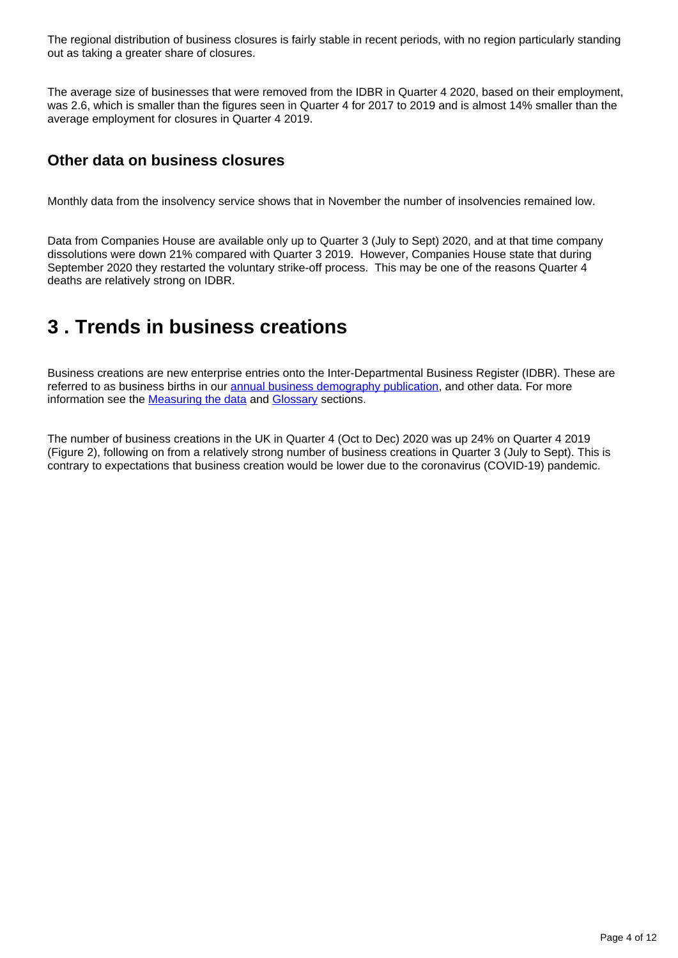The regional distribution of business closures is fairly stable in recent periods, with no region particularly standing out as taking a greater share of closures.

The average size of businesses that were removed from the IDBR in Quarter 4 2020, based on their employment, was 2.6, which is smaller than the figures seen in Quarter 4 for 2017 to 2019 and is almost 14% smaller than the average employment for closures in Quarter 4 2019.

#### **Other data on business closures**

Monthly data from the insolvency service shows that in November the number of insolvencies remained low.

Data from Companies House are available only up to Quarter 3 (July to Sept) 2020, and at that time company dissolutions were down 21% compared with Quarter 3 2019. However, Companies House state that during September 2020 they restarted the voluntary strike-off process. This may be one of the reasons Quarter 4 deaths are relatively strong on IDBR.

## <span id="page-3-0"></span>**3 . Trends in business creations**

Business creations are new enterprise entries onto the Inter-Departmental Business Register (IDBR). These are referred to as business births in our [annual business demography publication](https://www.ons.gov.uk/businessindustryandtrade/business/activitysizeandlocation/bulletins/businessdemography/previousReleases), and other data. For more information see the [Measuring the data](https://www.ons.gov.uk/businessindustryandtrade/business/activitysizeandlocation/bulletins/businessdemographyquarterlyexperimentalstatisticsuk/quarter42020#measuring-the-data) and [Glossary](https://www.ons.gov.uk/businessindustryandtrade/business/activitysizeandlocation/bulletins/businessdemographyquarterlyexperimentalstatisticsuk/quarter42020#glossary) sections.

The number of business creations in the UK in Quarter 4 (Oct to Dec) 2020 was up 24% on Quarter 4 2019 (Figure 2), following on from a relatively strong number of business creations in Quarter 3 (July to Sept). This is contrary to expectations that business creation would be lower due to the coronavirus (COVID-19) pandemic.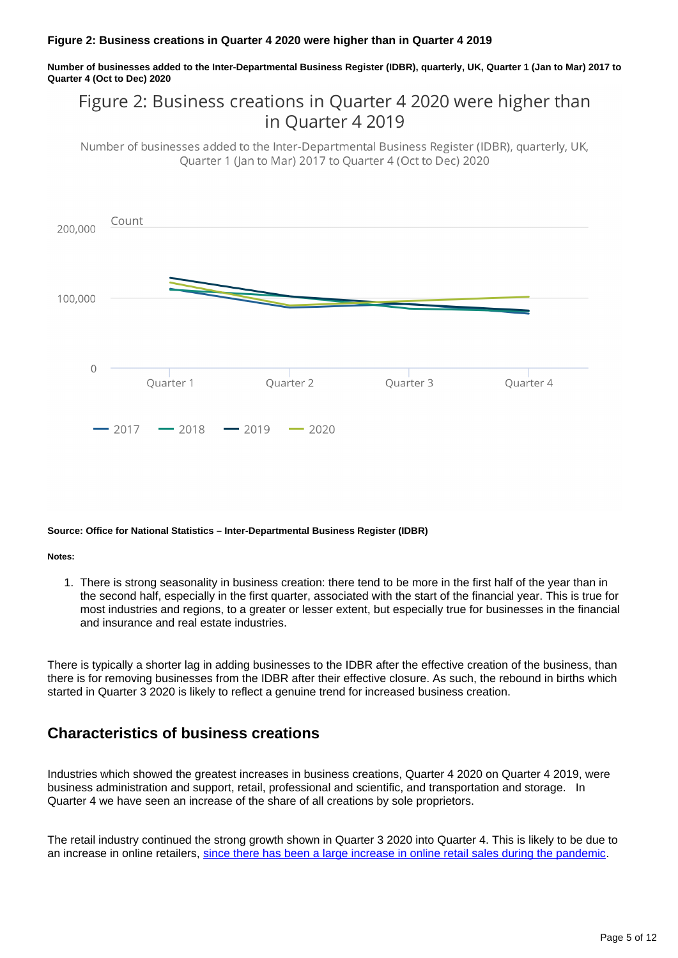#### **Figure 2: Business creations in Quarter 4 2020 were higher than in Quarter 4 2019**

**Number of businesses added to the Inter-Departmental Business Register (IDBR), quarterly, UK, Quarter 1 (Jan to Mar) 2017 to Quarter 4 (Oct to Dec) 2020**

## Figure 2: Business creations in Quarter 4 2020 were higher than in Ouarter 4 2019

Number of businesses added to the Inter-Departmental Business Register (IDBR), quarterly, UK, Ouarter 1 (Jan to Mar) 2017 to Ouarter 4 (Oct to Dec) 2020



#### **Source: Office for National Statistics – Inter-Departmental Business Register (IDBR)**

**Notes:**

1. There is strong seasonality in business creation: there tend to be more in the first half of the year than in the second half, especially in the first quarter, associated with the start of the financial year. This is true for most industries and regions, to a greater or lesser extent, but especially true for businesses in the financial and insurance and real estate industries.

There is typically a shorter lag in adding businesses to the IDBR after the effective creation of the business, than there is for removing businesses from the IDBR after their effective closure. As such, the rebound in births which started in Quarter 3 2020 is likely to reflect a genuine trend for increased business creation.

### **Characteristics of business creations**

Industries which showed the greatest increases in business creations, Quarter 4 2020 on Quarter 4 2019, were business administration and support, retail, professional and scientific, and transportation and storage. In Quarter 4 we have seen an increase of the share of all creations by sole proprietors.

The retail industry continued the strong growth shown in Quarter 3 2020 into Quarter 4. This is likely to be due to an increase in online retailers, [since there has been a large increase in online retail sales during the pandemic](https://blog.ons.gov.uk/2020/06/29/shopping-may-never-be-the-same-again/).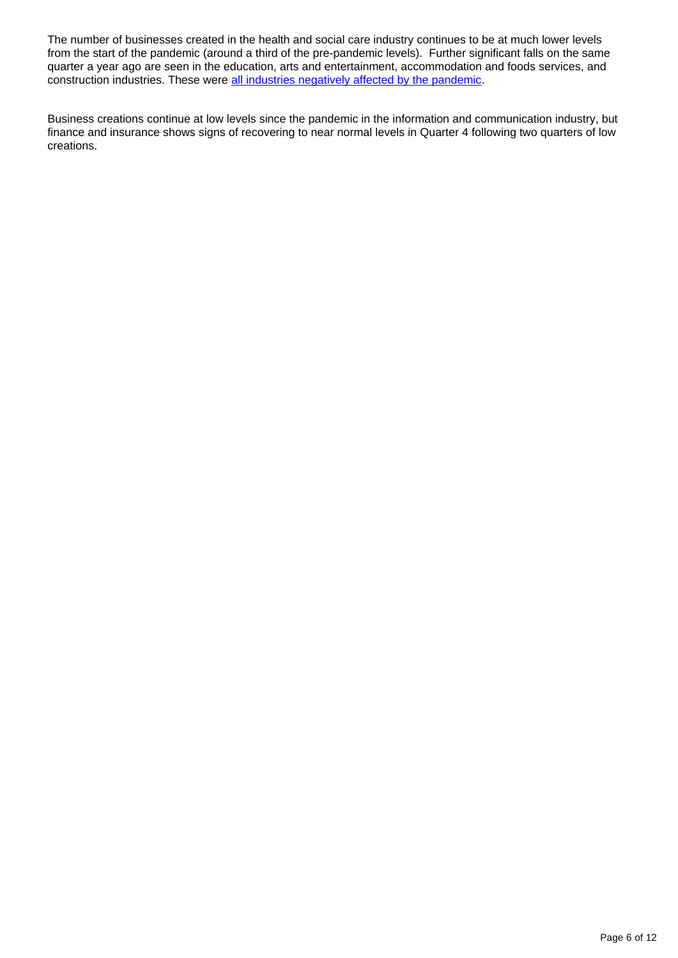The number of businesses created in the health and social care industry continues to be at much lower levels from the start of the pandemic (around a third of the pre-pandemic levels). Further significant falls on the same quarter a year ago are seen in the education, arts and entertainment, accommodation and foods services, and construction industries. These were [all industries negatively affected by the pandemic](https://www.ons.gov.uk/economy/grossdomesticproductgdp/articles/coronavirusandtheimpactonoutputintheukeconomy/july2020).

Business creations continue at low levels since the pandemic in the information and communication industry, but finance and insurance shows signs of recovering to near normal levels in Quarter 4 following two quarters of low creations.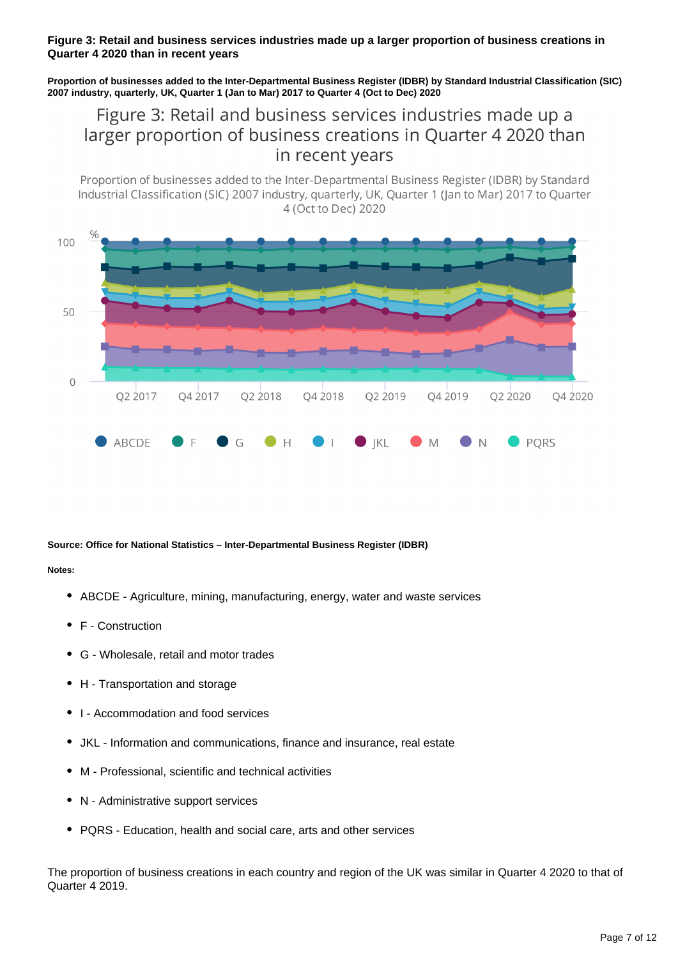#### **Figure 3: Retail and business services industries made up a larger proportion of business creations in Quarter 4 2020 than in recent years**

**Proportion of businesses added to the Inter-Departmental Business Register (IDBR) by Standard Industrial Classification (SIC) 2007 industry, quarterly, UK, Quarter 1 (Jan to Mar) 2017 to Quarter 4 (Oct to Dec) 2020**

## Figure 3: Retail and business services industries made up a larger proportion of business creations in Quarter 4 2020 than in recent years

Proportion of businesses added to the Inter-Departmental Business Register (IDBR) by Standard Industrial Classification (SIC) 2007 industry, quarterly, UK, Quarter 1 (Jan to Mar) 2017 to Quarter 4 (Oct to Dec) 2020



#### **Source: Office for National Statistics – Inter-Departmental Business Register (IDBR)**

**Notes:**

- ABCDE Agriculture, mining, manufacturing, energy, water and waste services
- F Construction
- G Wholesale, retail and motor trades
- H Transportation and storage
- I Accommodation and food services
- JKL Information and communications, finance and insurance, real estate
- M Professional, scientific and technical activities
- N Administrative support services
- PQRS Education, health and social care, arts and other services

The proportion of business creations in each country and region of the UK was similar in Quarter 4 2020 to that of Quarter 4 2019.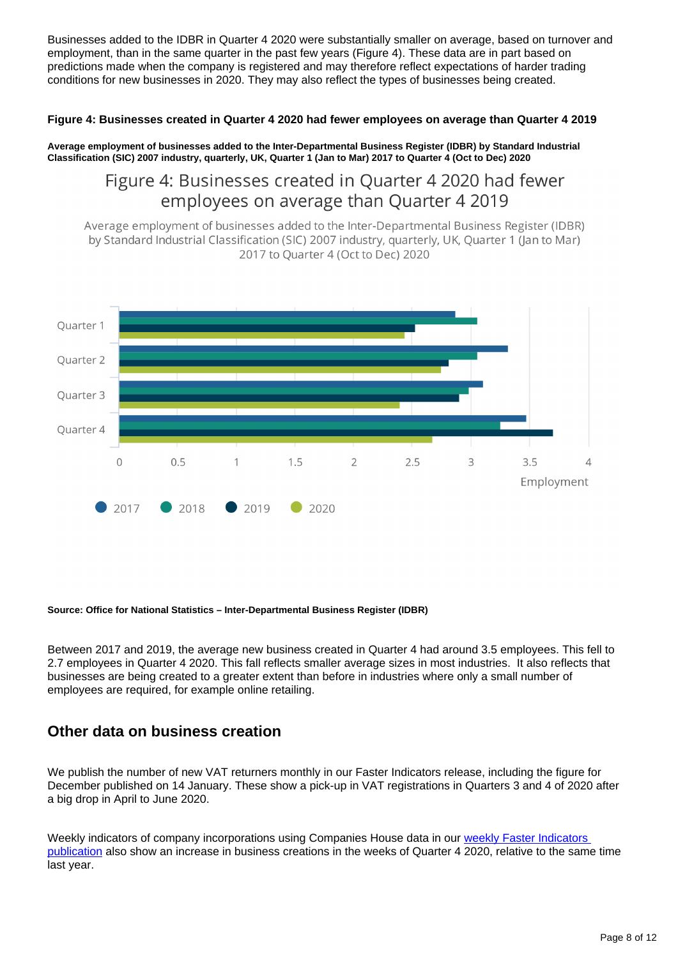Businesses added to the IDBR in Quarter 4 2020 were substantially smaller on average, based on turnover and employment, than in the same quarter in the past few years (Figure 4). These data are in part based on predictions made when the company is registered and may therefore reflect expectations of harder trading conditions for new businesses in 2020. They may also reflect the types of businesses being created.

#### **Figure 4: Businesses created in Quarter 4 2020 had fewer employees on average than Quarter 4 2019**

**Average employment of businesses added to the Inter-Departmental Business Register (IDBR) by Standard Industrial Classification (SIC) 2007 industry, quarterly, UK, Quarter 1 (Jan to Mar) 2017 to Quarter 4 (Oct to Dec) 2020**

## Figure 4: Businesses created in Quarter 4 2020 had fewer employees on average than Quarter 4 2019

Average employment of businesses added to the Inter-Departmental Business Register (IDBR) by Standard Industrial Classification (SIC) 2007 industry, quarterly, UK, Quarter 1 (Jan to Mar) 2017 to Quarter 4 (Oct to Dec) 2020



#### **Source: Office for National Statistics – Inter-Departmental Business Register (IDBR)**

Between 2017 and 2019, the average new business created in Quarter 4 had around 3.5 employees. This fell to 2.7 employees in Quarter 4 2020. This fall reflects smaller average sizes in most industries. It also reflects that businesses are being created to a greater extent than before in industries where only a small number of employees are required, for example online retailing.

#### **Other data on business creation**

We publish the number of new VAT returners monthly in our Faster Indicators release, including the figure for December published on 14 January. These show a pick-up in VAT registrations in Quarters 3 and 4 of 2020 after a big drop in April to June 2020.

Weekly indicators of company incorporations using Companies House data in our weekly Faster Indicators [publication](https://www.ons.gov.uk/peoplepopulationandcommunity/healthandsocialcare/conditionsanddiseases/bulletins/coronavirustheukeconomyandsocietyfasterindicators/previousReleases) also show an increase in business creations in the weeks of Quarter 4 2020, relative to the same time last year.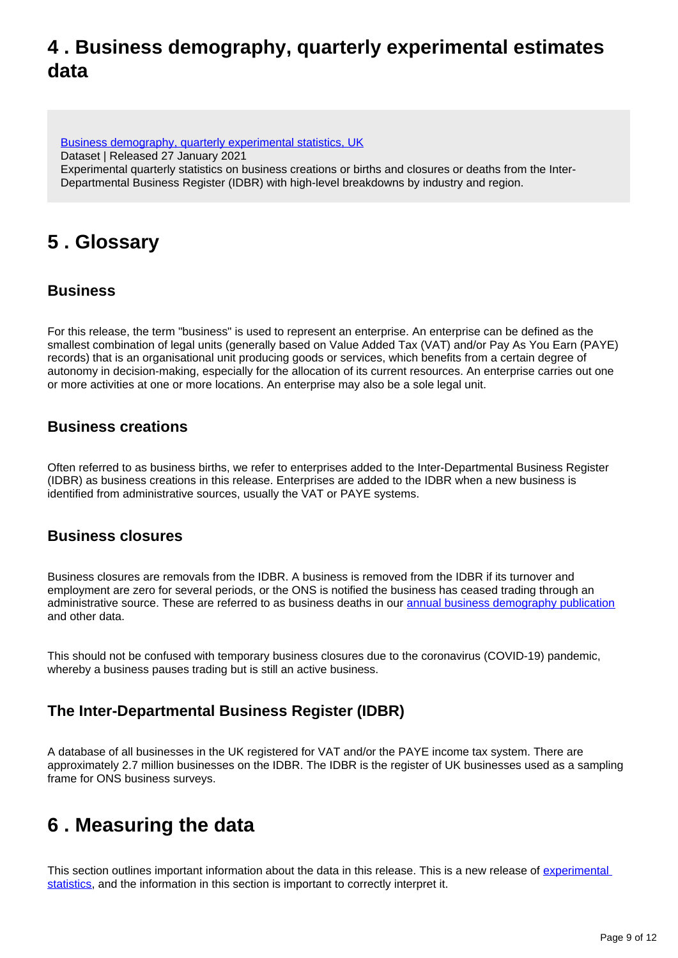# <span id="page-8-0"></span>**4 . Business demography, quarterly experimental estimates data**

[Business demography, quarterly experimental statistics, UK](https://www.ons.gov.uk/businessindustryandtrade/business/activitysizeandlocation/datasets/businessdemographyquarterlyexperimentalstatisticsuk) Dataset | Released 27 January 2021 Experimental quarterly statistics on business creations or births and closures or deaths from the Inter-Departmental Business Register (IDBR) with high-level breakdowns by industry and region.

# <span id="page-8-1"></span>**5 . Glossary**

### **Business**

For this release, the term "business" is used to represent an enterprise. An enterprise can be defined as the smallest combination of legal units (generally based on Value Added Tax (VAT) and/or Pay As You Earn (PAYE) records) that is an organisational unit producing goods or services, which benefits from a certain degree of autonomy in decision-making, especially for the allocation of its current resources. An enterprise carries out one or more activities at one or more locations. An enterprise may also be a sole legal unit.

### **Business creations**

Often referred to as business births, we refer to enterprises added to the Inter-Departmental Business Register (IDBR) as business creations in this release. Enterprises are added to the IDBR when a new business is identified from administrative sources, usually the VAT or PAYE systems.

#### **Business closures**

Business closures are removals from the IDBR. A business is removed from the IDBR if its turnover and employment are zero for several periods, or the ONS is notified the business has ceased trading through an administrative source. These are referred to as business deaths in our [annual business demography publication](https://www.ons.gov.uk/businessindustryandtrade/business/activitysizeandlocation/bulletins/businessdemography/previousReleases) and other data.

This should not be confused with temporary business closures due to the coronavirus (COVID-19) pandemic, whereby a business pauses trading but is still an active business.

### **The Inter-Departmental Business Register (IDBR)**

A database of all businesses in the UK registered for VAT and/or the PAYE income tax system. There are approximately 2.7 million businesses on the IDBR. The IDBR is the register of UK businesses used as a sampling frame for ONS business surveys.

# <span id="page-8-2"></span>**6 . Measuring the data**

This section outlines important information about the data in this release. This is a new release of experimental [statistics,](https://www.ons.gov.uk/methodology/methodologytopicsandstatisticalconcepts/guidetoexperimentalstatistics) and the information in this section is important to correctly interpret it.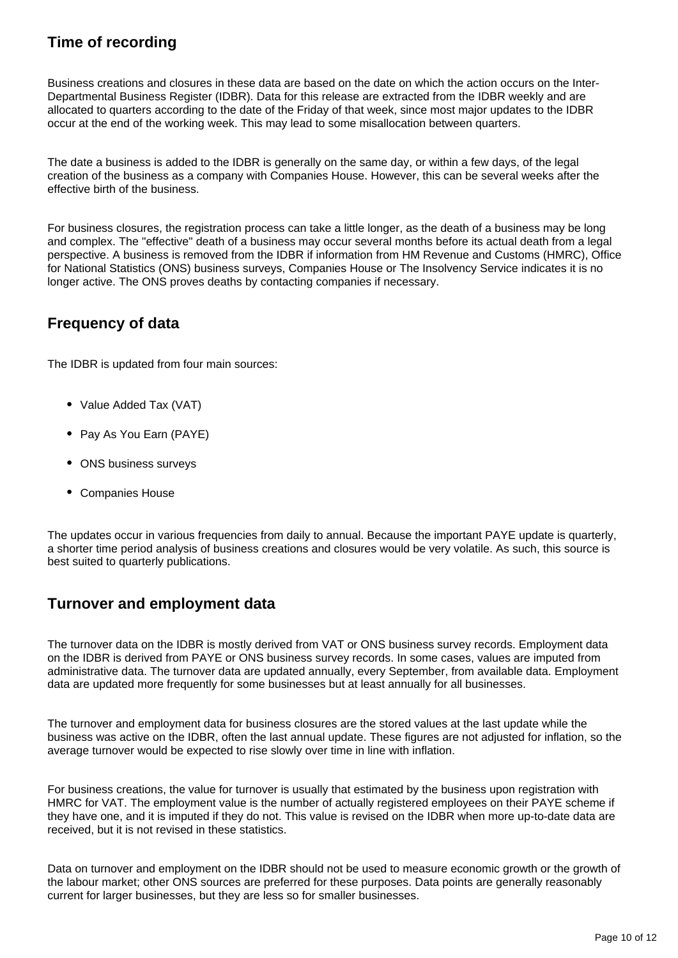### **Time of recording**

Business creations and closures in these data are based on the date on which the action occurs on the Inter-Departmental Business Register (IDBR). Data for this release are extracted from the IDBR weekly and are allocated to quarters according to the date of the Friday of that week, since most major updates to the IDBR occur at the end of the working week. This may lead to some misallocation between quarters.

The date a business is added to the IDBR is generally on the same day, or within a few days, of the legal creation of the business as a company with Companies House. However, this can be several weeks after the effective birth of the business.

For business closures, the registration process can take a little longer, as the death of a business may be long and complex. The "effective" death of a business may occur several months before its actual death from a legal perspective. A business is removed from the IDBR if information from HM Revenue and Customs (HMRC), Office for National Statistics (ONS) business surveys, Companies House or The Insolvency Service indicates it is no longer active. The ONS proves deaths by contacting companies if necessary.

#### **Frequency of data**

The IDBR is updated from four main sources:

- Value Added Tax (VAT)
- Pay As You Earn (PAYE)
- ONS business surveys
- Companies House

The updates occur in various frequencies from daily to annual. Because the important PAYE update is quarterly, a shorter time period analysis of business creations and closures would be very volatile. As such, this source is best suited to quarterly publications.

#### **Turnover and employment data**

The turnover data on the IDBR is mostly derived from VAT or ONS business survey records. Employment data on the IDBR is derived from PAYE or ONS business survey records. In some cases, values are imputed from administrative data. The turnover data are updated annually, every September, from available data. Employment data are updated more frequently for some businesses but at least annually for all businesses.

The turnover and employment data for business closures are the stored values at the last update while the business was active on the IDBR, often the last annual update. These figures are not adjusted for inflation, so the average turnover would be expected to rise slowly over time in line with inflation.

For business creations, the value for turnover is usually that estimated by the business upon registration with HMRC for VAT. The employment value is the number of actually registered employees on their PAYE scheme if they have one, and it is imputed if they do not. This value is revised on the IDBR when more up-to-date data are received, but it is not revised in these statistics.

Data on turnover and employment on the IDBR should not be used to measure economic growth or the growth of the labour market; other ONS sources are preferred for these purposes. Data points are generally reasonably current for larger businesses, but they are less so for smaller businesses.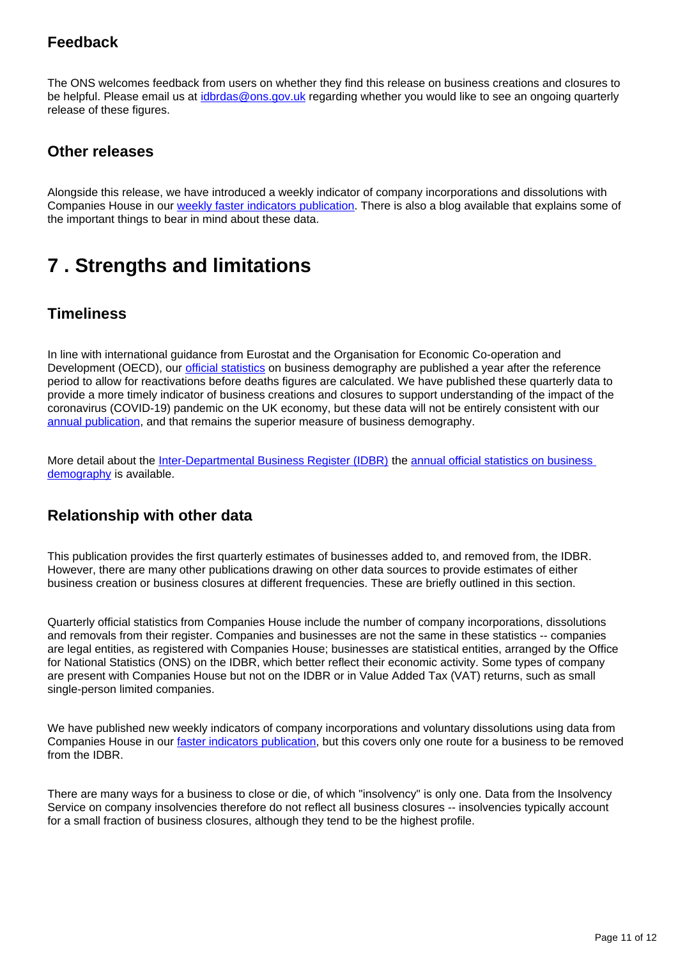### **Feedback**

The ONS welcomes feedback from users on whether they find this release on business creations and closures to be helpful. Please email us at [idbrdas@ons.gov.uk](mailto:idbrdas@ons.gov.uk) regarding whether you would like to see an ongoing quarterly release of these figures.

### **Other releases**

Alongside this release, we have introduced a weekly indicator of company incorporations and dissolutions with Companies House in our [weekly faster indicators publication](https://www.ons.gov.uk/peoplepopulationandcommunity/healthandsocialcare/conditionsanddiseases/bulletins/coronavirustheukeconomyandsocietyfasterindicators/previousReleases). There is also a blog available that explains some of the important things to bear in mind about these data.

# <span id="page-10-0"></span>**7 . Strengths and limitations**

### **Timeliness**

In line with international guidance from Eurostat and the Organisation for Economic Co-operation and Development (OECD), our *[official statistics](https://www.ons.gov.uk/businessindustryandtrade/business/activitysizeandlocation/bulletins/businessdemography/previousReleases)* on business demography are published a year after the reference period to allow for reactivations before deaths figures are calculated. We have published these quarterly data to provide a more timely indicator of business creations and closures to support understanding of the impact of the coronavirus (COVID-19) pandemic on the UK economy, but these data will not be entirely consistent with our [annual publication](https://www.ons.gov.uk/businessindustryandtrade/business/activitysizeandlocation/bulletins/businessdemography/previousReleases), and that remains the superior measure of business demography.

More detail about the *Inter-Departmental Business Register (IDBR)* the annual official statistics on business [demography](https://www.ons.gov.uk/businessindustryandtrade/business/activitysizeandlocation/methodologies/businessdemographyqmi#:~:text=Business%20demography%20is%20an%20annual,survival%20rates%20of%20new%20businesses.) is available.

### **Relationship with other data**

This publication provides the first quarterly estimates of businesses added to, and removed from, the IDBR. However, there are many other publications drawing on other data sources to provide estimates of either business creation or business closures at different frequencies. These are briefly outlined in this section.

Quarterly official statistics from Companies House include the number of company incorporations, dissolutions and removals from their register. Companies and businesses are not the same in these statistics -- companies are legal entities, as registered with Companies House; businesses are statistical entities, arranged by the Office for National Statistics (ONS) on the IDBR, which better reflect their economic activity. Some types of company are present with Companies House but not on the IDBR or in Value Added Tax (VAT) returns, such as small single-person limited companies.

We have published new weekly indicators of company incorporations and voluntary dissolutions using data from Companies House in our [faster indicators publication,](https://www.ons.gov.uk/peoplepopulationandcommunity/healthandsocialcare/conditionsanddiseases/bulletins/coronavirustheukeconomyandsocietyfasterindicators/previousReleases) but this covers only one route for a business to be removed from the **IDBR** 

There are many ways for a business to close or die, of which "insolvency" is only one. Data from the Insolvency Service on company insolvencies therefore do not reflect all business closures -- insolvencies typically account for a small fraction of business closures, although they tend to be the highest profile.